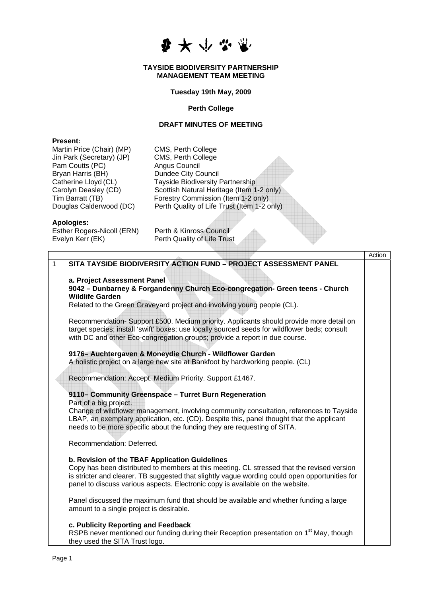少女小学

### **TAYSIDE BIODIVERSITY PARTNERSHIP MANAGEMENT TEAM MEETING**

## **Tuesday 19th May, 2009**

### **Perth College**

# **DRAFT MINUTES OF MEETING**

## **Present:**

Martin Price (Chair) (MP) CMS, Perth College Jin Park (Secretary) (JP) CMS, Perth College Pam Coutts (PC) Angus Council Bryan Harris (BH) Dundee City Council

Catherine Lloyd (CL)<br>
Carolyn Deasley (CD) Scottish Natural Heritage (Item 1 Carolyn Deasley (CD) Scottish Natural Heritage (Item 1-2 only)<br>
Tim Barratt (TB) Forestry Commission (Item 1-2 only) Tim Barratt (TB)  $\overline{\phantom{a}}$  Forestry Commission (Item 1-2 only)<br>Douglas Calderwood (DC) Perth Quality of Life Trust (Item 1-2 only) Perth Quality of Life Trust (Item 1-2 only)

## **Apologies:**

Esther Rogers-Nicoll (ERN) Perth & Kinross Council<br>Evelyn Kerr (EK) Perth Quality of Life Trus

Perth Quality of Life Trust

|   |                                                                                                     | Action |
|---|-----------------------------------------------------------------------------------------------------|--------|
| 1 | SITA TAYSIDE BIODIVERSITY ACTION FUND - PROJECT ASSESSMENT PANEL                                    |        |
|   |                                                                                                     |        |
|   | a. Project Assessment Panel                                                                         |        |
|   | 9042 - Dunbarney & Forgandenny Church Eco-congregation- Green teens - Church                        |        |
|   | <b>Wildlife Garden</b>                                                                              |        |
|   | Related to the Green Graveyard project and involving young people (CL).                             |        |
|   |                                                                                                     |        |
|   | Recommendation-Support £500. Medium priority. Applicants should provide more detail on              |        |
|   | target species; install 'swift' boxes; use locally sourced seeds for wildflower beds; consult       |        |
|   | with DC and other Eco-congregation groups; provide a report in due course.                          |        |
|   |                                                                                                     |        |
|   | 9176- Auchtergaven & Moneydie Church - Wildflower Garden                                            |        |
|   | A holistic project on a large new site at Bankfoot by hardworking people. (CL)                      |        |
|   | Recommendation: Accept. Medium Priority. Support £1467.                                             |        |
|   |                                                                                                     |        |
|   | 9110– Community Greenspace - Turret Burn Regeneration                                               |        |
|   | Part of a big project.                                                                              |        |
|   | Change of wildflower management, involving community consultation, references to Tayside            |        |
|   | LBAP, an exemplary application, etc. (CD). Despite this, panel thought that the applicant           |        |
|   | needs to be more specific about the funding they are requesting of SITA.                            |        |
|   |                                                                                                     |        |
|   | Recommendation: Deferred.                                                                           |        |
|   |                                                                                                     |        |
|   | b. Revision of the TBAF Application Guidelines                                                      |        |
|   | Copy has been distributed to members at this meeting. CL stressed that the revised version          |        |
|   | is stricter and clearer. TB suggested that slightly vague wording could open opportunities for      |        |
|   | panel to discuss various aspects. Electronic copy is available on the website.                      |        |
|   |                                                                                                     |        |
|   | Panel discussed the maximum fund that should be available and whether funding a large               |        |
|   | amount to a single project is desirable.                                                            |        |
|   |                                                                                                     |        |
|   | c. Publicity Reporting and Feedback                                                                 |        |
|   | RSPB never mentioned our funding during their Reception presentation on 1 <sup>st</sup> May, though |        |
|   | they used the SITA Trust logo.                                                                      |        |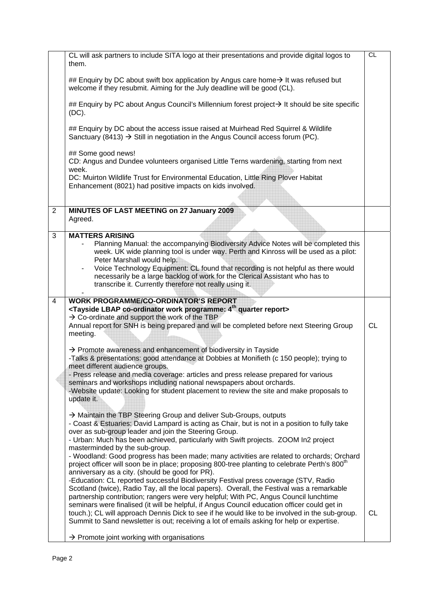|                | CL will ask partners to include SITA logo at their presentations and provide digital logos to<br>them.                                                                                                                                                                                                                                                                                                                                                                                                                                                                                                                        | CL        |
|----------------|-------------------------------------------------------------------------------------------------------------------------------------------------------------------------------------------------------------------------------------------------------------------------------------------------------------------------------------------------------------------------------------------------------------------------------------------------------------------------------------------------------------------------------------------------------------------------------------------------------------------------------|-----------|
|                | ## Enquiry by DC about swift box application by Angus care home $\rightarrow$ It was refused but<br>welcome if they resubmit. Aiming for the July deadline will be good (CL).                                                                                                                                                                                                                                                                                                                                                                                                                                                 |           |
|                | ## Enquiry by PC about Angus Council's Millennium forest project→ It should be site specific<br>$(DC)$ .                                                                                                                                                                                                                                                                                                                                                                                                                                                                                                                      |           |
|                | ## Enquiry by DC about the access issue raised at Muirhead Red Squirrel & Wildlife<br>Sanctuary (8413) $\rightarrow$ Still in negotiation in the Angus Council access forum (PC).                                                                                                                                                                                                                                                                                                                                                                                                                                             |           |
|                | ## Some good news!<br>CD: Angus and Dundee volunteers organised Little Terns wardening, starting from next<br>week.                                                                                                                                                                                                                                                                                                                                                                                                                                                                                                           |           |
|                | DC: Muirton Wildlife Trust for Environmental Education, Little Ring Plover Habitat<br>Enhancement (8021) had positive impacts on kids involved.                                                                                                                                                                                                                                                                                                                                                                                                                                                                               |           |
|                |                                                                                                                                                                                                                                                                                                                                                                                                                                                                                                                                                                                                                               |           |
| $\overline{2}$ | MINUTES OF LAST MEETING on 27 January 2009<br>Agreed.                                                                                                                                                                                                                                                                                                                                                                                                                                                                                                                                                                         |           |
| 3              | <b>MATTERS ARISING</b><br>Planning Manual: the accompanying Biodiversity Advice Notes will be completed this<br>week. UK wide planning tool is under way. Perth and Kinross will be used as a pilot:<br>Peter Marshall would help.<br>Voice Technology Equipment: CL found that recording is not helpful as there would<br>necessarily be a large backlog of work for the Clerical Assistant who has to<br>transcribe it. Currently therefore not really using it.                                                                                                                                                            |           |
|                |                                                                                                                                                                                                                                                                                                                                                                                                                                                                                                                                                                                                                               |           |
| $\overline{4}$ | <b>WORK PROGRAMME/CO-ORDINATOR'S REPORT</b><br><tayside 4<sup="" co-ordinator="" lbap="" programme:="" work="">th quarter report&gt;<br/><math>\rightarrow</math> Co-ordinate and support the work of the TBP<br/>Annual report for SNH is being prepared and will be completed before next Steering Group<br/>meeting.</tayside>                                                                                                                                                                                                                                                                                             | <b>CL</b> |
|                | $\rightarrow$ Promote awareness and enhancement of biodiversity in Tayside<br>-Talks & presentations: good attendance at Dobbies at Monifieth (c 150 people); trying to<br>meet different audience groups.<br>- Press release and media coverage: articles and press release prepared for various<br>seminars and workshops including national newspapers about orchards.<br>-Website update: Looking for student placement to review the site and make proposals to<br>update it.                                                                                                                                            |           |
|                | $\rightarrow$ Maintain the TBP Steering Group and deliver Sub-Groups, outputs<br>- Coast & Estuaries: David Lampard is acting as Chair, but is not in a position to fully take<br>over as sub-group leader and join the Steering Group.<br>- Urban: Much has been achieved, particularly with Swift projects. ZOOM In2 project<br>masterminded by the sub-group.<br>- Woodland: Good progress has been made; many activities are related to orchards; Orchard<br>project officer will soon be in place; proposing 800-tree planting to celebrate Perth's 800 <sup>th</sup><br>anniversary as a city. (should be good for PR). |           |
|                | -Education: CL reported successful Biodiversity Festival press coverage (STV, Radio<br>Scotland (twice), Radio Tay, all the local papers). Overall, the Festival was a remarkable<br>partnership contribution; rangers were very helpful; With PC, Angus Council lunchtime<br>seminars were finalised (it will be helpful, if Angus Council education officer could get in<br>touch.); CL will approach Dennis Dick to see if he would like to be involved in the sub-group.<br>Summit to Sand newsletter is out; receiving a lot of emails asking for help or expertise.                                                     | <b>CL</b> |
|                |                                                                                                                                                                                                                                                                                                                                                                                                                                                                                                                                                                                                                               |           |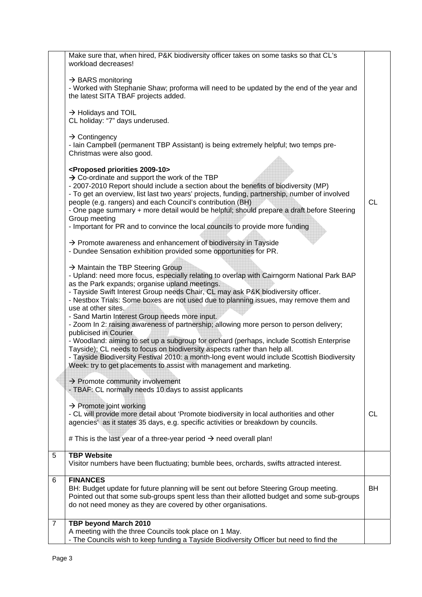|                     | A meeting with the three Councils took place on 1 May.<br>- The Councils wish to keep funding a Tayside Biodiversity Officer but need to find the                                                                                                                                                                                                                                                                                                                                                                                                                                                                                                                                                                                                                          |           |
|---------------------|----------------------------------------------------------------------------------------------------------------------------------------------------------------------------------------------------------------------------------------------------------------------------------------------------------------------------------------------------------------------------------------------------------------------------------------------------------------------------------------------------------------------------------------------------------------------------------------------------------------------------------------------------------------------------------------------------------------------------------------------------------------------------|-----------|
| 6<br>$\overline{7}$ | <b>FINANCES</b><br>BH: Budget update for future planning will be sent out before Steering Group meeting.<br>Pointed out that some sub-groups spent less than their allotted budget and some sub-groups<br>do not need money as they are covered by other organisations.<br>TBP beyond March 2010                                                                                                                                                                                                                                                                                                                                                                                                                                                                           | <b>BH</b> |
| 5                   | <b>TBP Website</b><br>Visitor numbers have been fluctuating; bumble bees, orchards, swifts attracted interest.                                                                                                                                                                                                                                                                                                                                                                                                                                                                                                                                                                                                                                                             |           |
|                     | agencies' as it states 35 days, e.g. specific activities or breakdown by councils.<br># This is the last year of a three-year period $\rightarrow$ need overall plan!                                                                                                                                                                                                                                                                                                                                                                                                                                                                                                                                                                                                      |           |
|                     | $\rightarrow$ Promote joint working<br>- CL will provide more detail about 'Promote biodiversity in local authorities and other                                                                                                                                                                                                                                                                                                                                                                                                                                                                                                                                                                                                                                            | СL        |
|                     | $\rightarrow$ Promote community involvement<br>- TBAF: CL normally needs 10 days to assist applicants                                                                                                                                                                                                                                                                                                                                                                                                                                                                                                                                                                                                                                                                      |           |
|                     | as the Park expands; organise upland meetings.<br>- Tayside Swift Interest Group needs Chair, CL may ask P&K biodiversity officer.<br>- Nestbox Trials: Some boxes are not used due to planning issues, may remove them and<br>use at other sites.<br>- Sand Martin Interest Group needs more input.<br>- Zoom In 2: raising awareness of partnership; allowing more person to person delivery;<br>publicised in Courier<br>- Woodland: aiming to set up a subgroup for orchard (perhaps, include Scottish Enterprise<br>Tayside); CL needs to focus on biodiversity aspects rather than help all.<br>- Tayside Biodiversity Festival 2010: a month-long event would include Scottish Biodiversity<br>Week: try to get placements to assist with management and marketing. |           |
|                     | - Dundee Sensation exhibition provided some opportunities for PR.<br>$\rightarrow$ Maintain the TBP Steering Group<br>- Upland: need more focus, especially relating to overlap with Cairngorm National Park BAP                                                                                                                                                                                                                                                                                                                                                                                                                                                                                                                                                           |           |
|                     | <proposed 2009-10="" priorities=""><br/><math>\rightarrow</math> Co-ordinate and support the work of the TBP<br/>- 2007-2010 Report should include a section about the benefits of biodiversity (MP)<br/>- To get an overview, list last two years' projects, funding, partnership, number of involved<br/>people (e.g. rangers) and each Council's contribution (BH)<br/>- One page summary + more detail would be helpful; should prepare a draft before Steering<br/>Group meeting<br/>- Important for PR and to convince the local councils to provide more funding<br/><math>\rightarrow</math> Promote awareness and enhancement of biodiversity in Tayside</proposed>                                                                                               | СL        |
|                     | $\rightarrow$ Contingency<br>- Iain Campbell (permanent TBP Assistant) is being extremely helpful; two temps pre-<br>Christmas were also good.                                                                                                                                                                                                                                                                                                                                                                                                                                                                                                                                                                                                                             |           |
|                     | $\rightarrow$ Holidays and TOIL<br>CL holiday: "7" days underused.                                                                                                                                                                                                                                                                                                                                                                                                                                                                                                                                                                                                                                                                                                         |           |
|                     | workload decreases!<br>$\rightarrow$ BARS monitoring<br>- Worked with Stephanie Shaw; proforma will need to be updated by the end of the year and<br>the latest SITA TBAF projects added.                                                                                                                                                                                                                                                                                                                                                                                                                                                                                                                                                                                  |           |
|                     | Make sure that, when hired, P&K biodiversity officer takes on some tasks so that CL's                                                                                                                                                                                                                                                                                                                                                                                                                                                                                                                                                                                                                                                                                      |           |